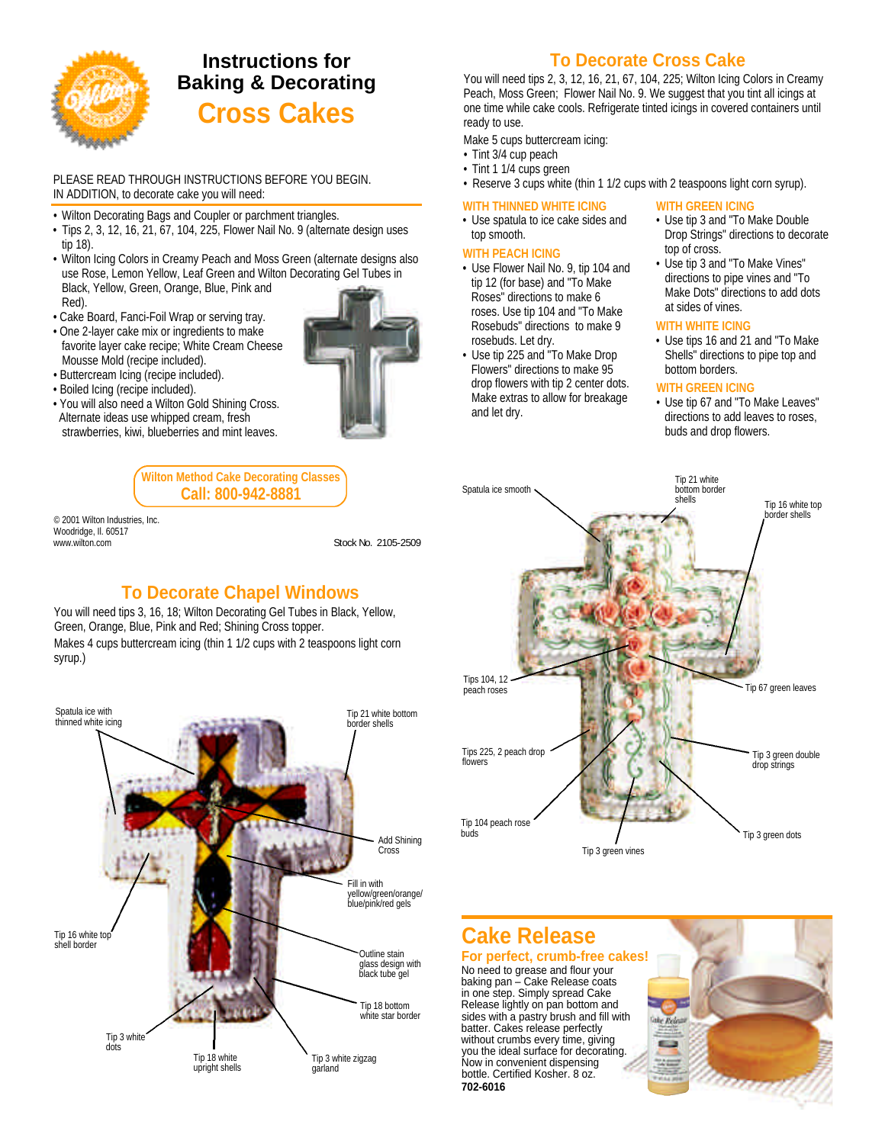

# **Instructions for Baking & Decorating Cross Cakes**

#### PLEASE READ THROUGH INSTRUCTIONS BEFORE YOU BEGIN. IN ADDITION, to decorate cake you will need:

- Wilton Decorating Bags and Coupler or parchment triangles.
- Tips 2, 3, 12, 16, 21, 67, 104, 225, Flower Nail No. 9 (alternate design uses tip 18).
- Wilton Icing Colors in Creamy Peach and Moss Green (alternate designs also use Rose, Lemon Yellow, Leaf Green and Wilton Decorating Gel Tubes in Black, Yellow, Green, Orange, Blue, Pink and Red).
- Cake Board, Fanci-Foil Wrap or serving tray.
- One 2-layer cake mix or ingredients to make favorite layer cake recipe; White Cream Cheese Mousse Mold (recipe included).
- Buttercream Icing (recipe included).
- Boiled Icing (recipe included).
- You will also need a Wilton Gold Shining Cross. Alternate ideas use whipped cream, fresh strawberries, kiwi, blueberries and mint leaves.



**Wilton Method Cake Decorating Classes Call: 800-942-8881**

© 2001 Wilton Industries, Inc. Woodridge, IL 60517 www.witton.com Stock No. 2105-2509

### **To Decorate Chapel Windows**

You will need tips 3, 16, 18; Wilton Decorating Gel Tubes in Black, Yellow, Green, Orange, Blue, Pink and Red; Shining Cross topper. Makes 4 cups buttercream icing (thin 1 1/2 cups with 2 teaspoons light corn syrup.)



# **To Decorate Cross Cake**

You will need tips 2, 3, 12, 16, 21, 67, 104, 225; Wilton Icing Colors in Creamy Peach, Moss Green; Flower Nail No. 9. We suggest that you tint all icings at one time while cake cools. Refrigerate tinted icings in covered containers until ready to use.

Make 5 cups buttercream icing:

- Tint 3/4 cup peach
- Tint 1 1/4 cups green
- Reserve 3 cups white (thin 1 1/2 cups with 2 teaspoons light corn syrup).

#### **WITH THINNED WHITE ICING**

• Use spatula to ice cake sides and top smooth.

#### **WITH PEACH ICING**

- Use Flower Nail No. 9, tip 104 and tip 12 (for base) and "To Make Roses" directions to make 6 roses. Use tip 104 and "To Make Rosebuds" directions to make 9 rosebuds. Let dry.
- Use tip 225 and "To Make Drop Flowers" directions to make 95 drop flowers with tip 2 center dots. Make extras to allow for breakage and let dry.

#### **WITH GREEN ICING**

- Use tip 3 and "To Make Double Drop Strings" directions to decorate top of cross.
- Use tip 3 and "To Make Vines" directions to pipe vines and "To Make Dots" directions to add dots at sides of vines.

#### **WITH WHITE ICING**

• Use tips 16 and 21 and "To Make Shells" directions to pipe top and bottom borders.

#### **WITH GREEN ICING**

• Use tip 67 and "To Make Leaves" directions to add leaves to roses, buds and drop flowers.



# **Cake Release**

#### **For perfect, crumb-free cakes!** No need to grease and flour your

baking pan – Cake Release coats in one step. Simply spread Cake Release lightly on pan bottom and sides with a pastry brush and fill with batter. Cakes release perfectly without crumbs every time, giving you the ideal surface for decorating. Now in convenient dispensing bottle. Certified Kosher. 8 oz. **702-6016** 

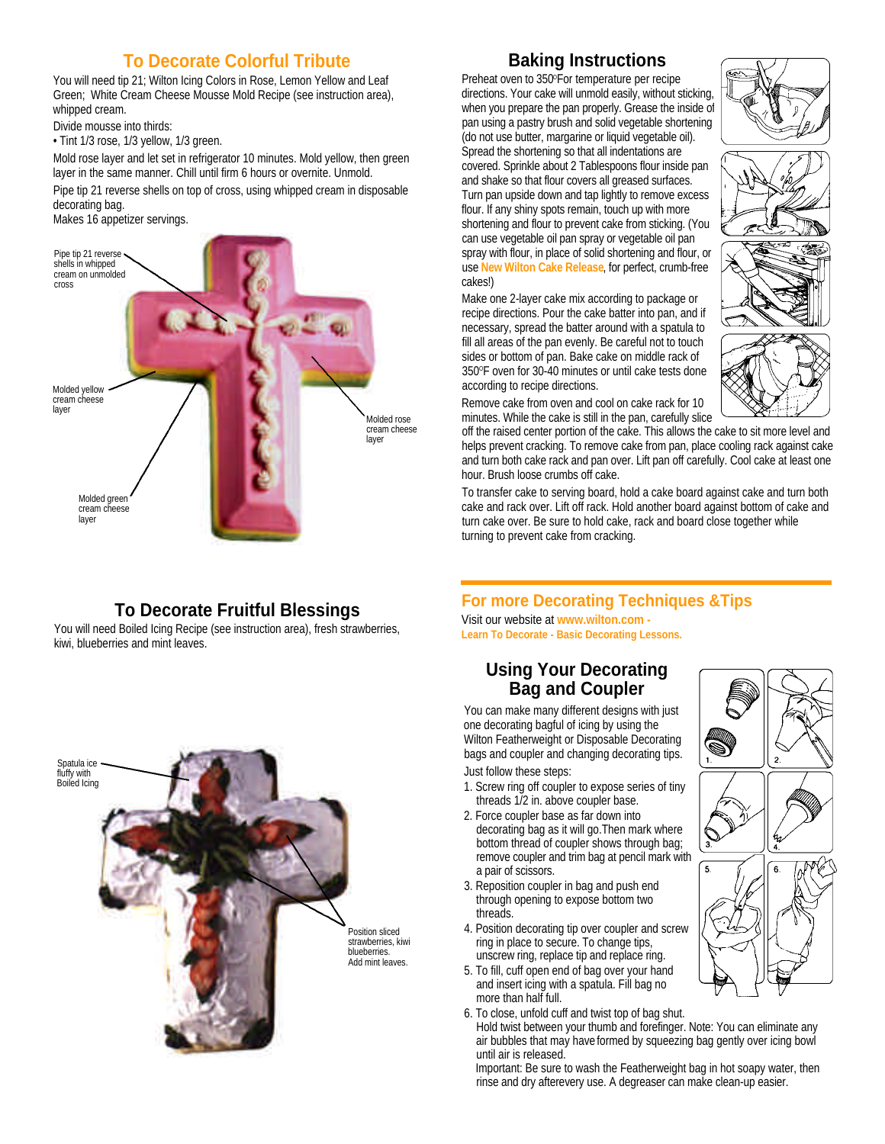### **To Decorate Colorful Tribute**

You will need tip 21; Wilton Icing Colors in Rose, Lemon Yellow and Leaf Green; White Cream Cheese Mousse Mold Recipe (see instruction area), whipped cream.

Divide mousse into thirds:

• Tint 1/3 rose, 1/3 yellow, 1/3 green.

Mold rose layer and let set in refrigerator 10 minutes. Mold yellow, then green layer in the same manner. Chill until firm 6 hours or overnite. Unmold.

Pipe tip 21 reverse shells on top of cross, using whipped cream in disposable decorating bag.

Makes 16 appetizer servings.



# **To Decorate Fruitful Blessings**

You will need Boiled Icing Recipe (see instruction area), fresh strawberries, kiwi, blueberries and mint leaves.



#### **Baking Instructions**

Preheat oven to 350°For temperature per recipe directions. Your cake will unmold easily, without sticking, when you prepare the pan properly. Grease the inside of pan using a pastry brush and solid vegetable shortening (do not use butter, margarine or liquid vegetable oil). Spread the shortening so that all indentations are covered. Sprinkle about 2 Tablespoons flour inside pan and shake so that flour covers all greased surfaces. Turn pan upside down and tap lightly to remove excess flour. If any shiny spots remain, touch up with more shortening and flour to prevent cake from sticking. (You can use vegetable oil pan spray or vegetable oil pan spray with flour, in place of solid shortening and flour, or use **New Wilton Cake Release**, for perfect, crumb-free cakes!)

Make one 2-layer cake mix according to package or recipe directions. Pour the cake batter into pan, and if necessary, spread the batter around with a spatula to fill all areas of the pan evenly. Be careful not to touch sides or bottom of pan. Bake cake on middle rack of 350°F oven for 30-40 minutes or until cake tests done according to recipe directions.



Remove cake from oven and cool on cake rack for 10 minutes. While the cake is still in the pan, carefully slice

off the raised center portion of the cake. This allows the cake to sit more level and helps prevent cracking. To remove cake from pan, place cooling rack against cake and turn both cake rack and pan over. Lift pan off carefully. Cool cake at least one hour. Brush loose crumbs off cake.

To transfer cake to serving board, hold a cake board against cake and turn both cake and rack over. Lift off rack. Hold another board against bottom of cake and turn cake over. Be sure to hold cake, rack and board close together while turning to prevent cake from cracking.

### **For more Decorating Techniques &Tips**

Visit our website at **www.wilton.com - Learn To Decorate - Basic Decorating Lessons.**

#### **Using Your Decorating Bag and Coupler**

You can make many different designs with just one decorating bagful of icing by using the Wilton Featherweight or Disposable Decorating bags and coupler and changing decorating tips. Just follow these steps:

- 1. Screw ring off coupler to expose series of tiny threads 1/2 in. above coupler base.
- 2. Force coupler base as far down into decorating bag as it will go.Then mark where bottom thread of coupler shows through bag; remove coupler and trim bag at pencil mark with a pair of scissors.
- 3. Reposition coupler in bag and push end through opening to expose bottom two threads.
- 4. Position decorating tip over coupler and screw ring in place to secure. To change tips, unscrew ring, replace tip and replace ring.
- 5. To fill, cuff open end of bag over your hand and insert icing with a spatula. Fill bag no more than half full.
- 6. To close, unfold cuff and twist top of bag shut.
- Hold twist between your thumb and forefinger. Note: You can eliminate any air bubbles that may have formed by squeezing bag gently over icing bowl until air is released.

Important: Be sure to wash the Featherweight bag in hot soapy water, then rinse and dry afterevery use. A degreaser can make clean-up easier.

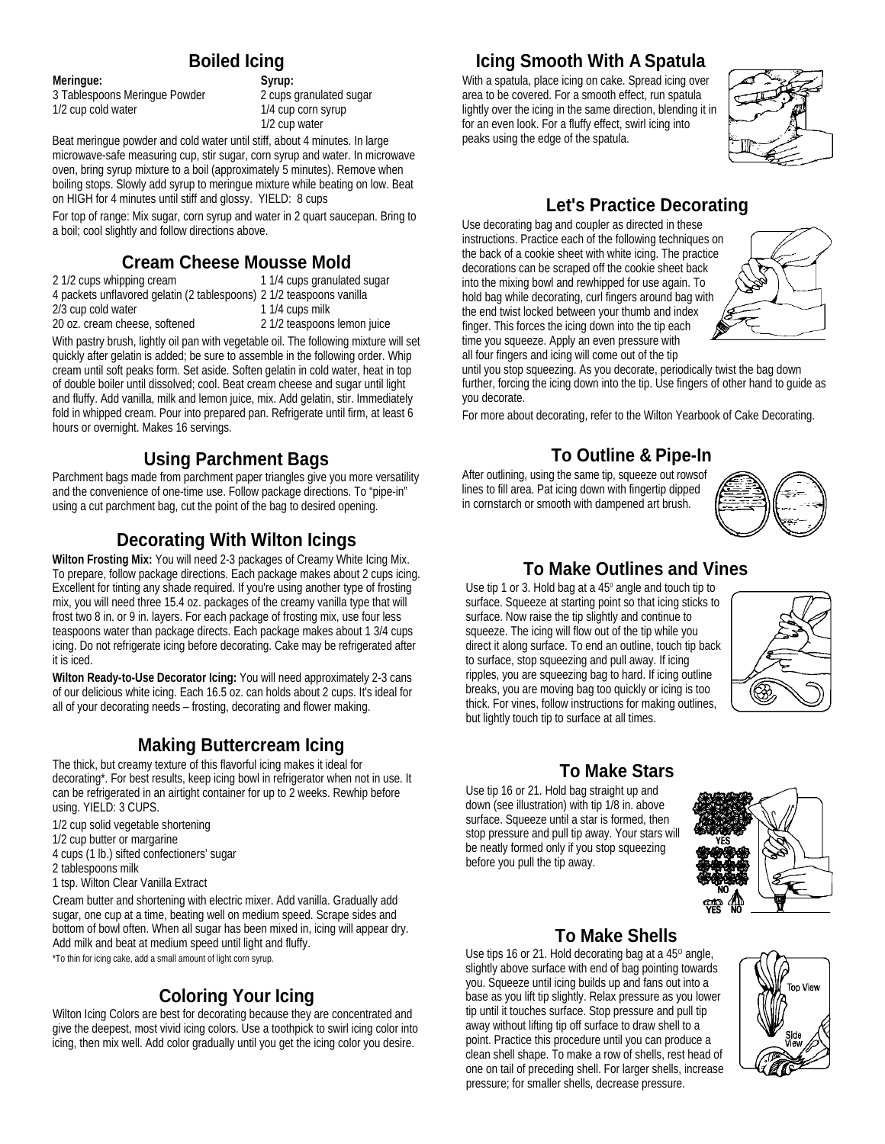#### **Boiled Icing**

**Meringue: Syrup:**

3 Tablespoons Meringue Powder 2 cups granulated sugar 1/2 cup cold water 1/4 cup corn syrup

1/2 cup water

Beat meringue powder and cold water until stiff, about 4 minutes. In large microwave-safe measuring cup, stir sugar, corn syrup and water. In microwave oven, bring syrup mixture to a boil (approximately 5 minutes). Remove when boiling stops. Slowly add syrup to meringue mixture while beating on low. Beat on HIGH for 4 minutes until stiff and glossy. YIELD: 8 cups

For top of range: Mix sugar, corn syrup and water in 2 quart saucepan. Bring to a boil; cool slightly and follow directions above.

#### **Cream Cheese Mousse Mold**<br>2 1/2 cups whipping cream 1 1/4 cups granulate 1 1/4 cups granulated sugar

4 packets unflavored gelatin (2 tablespoons) 2 1/2 teaspoons vanilla

- 
- $2/3$  cup cold water
- 20 oz. cream cheese, softened 2 1/2 teaspoons lemon juice

With pastry brush, lightly oil pan with vegetable oil. The following mixture will set quickly after gelatin is added; be sure to assemble in the following order. Whip cream until soft peaks form. Set aside. Soften gelatin in cold water, heat in top of double boiler until dissolved; cool. Beat cream cheese and sugar until light and fluffy. Add vanilla, milk and lemon juice, mix. Add gelatin, stir. Immediately fold in whipped cream. Pour into prepared pan. Refrigerate until firm, at least 6 hours or overnight. Makes 16 servings.

## **Using Parchment Bags**

Parchment bags made from parchment paper triangles give you more versatility and the convenience of one-time use. Follow package directions. To "pipe-in" using a cut parchment bag, cut the point of the bag to desired opening.

### **Decorating With Wilton Icings**

**Wilton Frosting Mix:** You will need 2-3 packages of Creamy White Icing Mix. To prepare, follow package directions. Each package makes about 2 cups icing. Excellent for tinting any shade required. If you're using another type of frosting mix, you will need three 15.4 oz. packages of the creamy vanilla type that will frost two 8 in. or 9 in. layers. For each package of frosting mix, use four less teaspoons water than package directs. Each package makes about 1 3/4 cups icing. Do not refrigerate icing before decorating. Cake may be refrigerated after it is iced.

**Wilton Ready-to-Use Decorator Icing:** You will need approximately 2-3 cans of our delicious white icing. Each 16.5 oz. can holds about 2 cups. It's ideal for all of your decorating needs – frosting, decorating and flower making.

## **Making Buttercream Icing**

The thick, but creamy texture of this flavorful icing makes it ideal for decorating\*. For best results, keep icing bowl in refrigerator when not in use. It can be refrigerated in an airtight container for up to 2 weeks. Rewhip before using. YIELD: 3 CUPS.

- 1/2 cup solid vegetable shortening
- 1/2 cup butter or margarine
- 4 cups (1 lb.) sifted confectioners' sugar
- 2 tablespoons milk
- 1 tsp. Wilton Clear Vanilla Extract

Cream butter and shortening with electric mixer. Add vanilla. Gradually add sugar, one cup at a time, beating well on medium speed. Scrape sides and bottom of bowl often. When all sugar has been mixed in, icing will appear dry. Add milk and beat at medium speed until light and fluffy.

\*To thin for icing cake, add a small amount of light corn syrup.

## **Coloring Your Icing**

Wilton Icing Colors are best for decorating because they are concentrated and give the deepest, most vivid icing colors. Use a toothpick to swirl icing color into icing, then mix well. Add color gradually until you get the icing color you desire.

### **Icing Smooth With A Spatula**

With a spatula, place icing on cake. Spread icing over area to be covered. For a smooth effect, run spatula lightly over the icing in the same direction, blending it in for an even look. For a fluffy effect, swirl icing into peaks using the edge of the spatula.



# **Let's Practice Decorating**

Use decorating bag and coupler as directed in these instructions. Practice each of the following techniques on the back of a cookie sheet with white icing. The practice decorations can be scraped off the cookie sheet back into the mixing bowl and rewhipped for use again. To hold bag while decorating, curl fingers around bag with the end twist locked between your thumb and index finger. This forces the icing down into the tip each time you squeeze. Apply an even pressure with all four fingers and icing will come out of the tip



until you stop squeezing. As you decorate, periodically twist the bag down further, forcing the icing down into the tip. Use fingers of other hand to guide as you decorate.

For more about decorating, refer to the Wilton Yearbook of Cake Decorating.

# **To Outline & Pipe-In**

After outlining, using the same tip, squeeze out rowsof lines to fill area. Pat icing down with fingertip dipped in cornstarch or smooth with dampened art brush.



### **To Make Outlines and Vines**

Use tip 1 or 3. Hold bag at a  $45^\circ$  angle and touch tip to surface. Squeeze at starting point so that icing sticks to surface. Now raise the tip slightly and continue to squeeze. The icing will flow out of the tip while you direct it along surface. To end an outline, touch tip back to surface, stop squeezing and pull away. If icing ripples, you are squeezing bag to hard. If icing outline breaks, you are moving bag too quickly or icing is too thick. For vines, follow instructions for making outlines, but lightly touch tip to surface at all times.



### **To Make Stars**

Use tip 16 or 21. Hold bag straight up and down (see illustration) with tip 1/8 in. above surface. Squeeze until a star is formed, then stop pressure and pull tip away. Your stars will be neatly formed only if you stop squeezing before you pull the tip away.



# **To Make Shells**

Use tips 16 or 21. Hold decorating bag at a  $45^\circ$  angle, slightly above surface with end of bag pointing towards you. Squeeze until icing builds up and fans out into a base as you lift tip slightly. Relax pressure as you lower tip until it touches surface. Stop pressure and pull tip away without lifting tip off surface to draw shell to a point. Practice this procedure until you can produce a clean shell shape. To make a row of shells, rest head of one on tail of preceding shell. For larger shells, increase pressure; for smaller shells, decrease pressure.